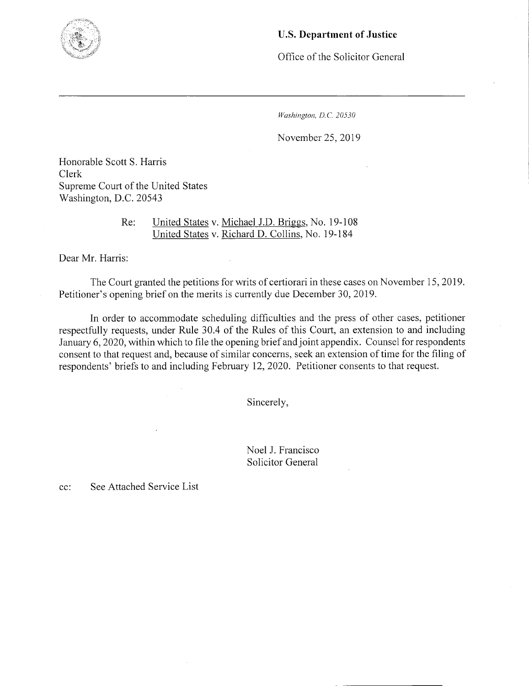

## U.S. **Department of Justice**

Office of the Solicitor General

*Washington, D.C. 20530* 

November *25,* 2019

Honorable Scott S. Harris Clerk Supreme Court of the United States Washington, D.C. 20543

> Re: United States v. Michael J.D. Briggs, No. 19-108 United States v. Richard D. Collins, No. 19-184

Dear Mr. Harris:

The Court granted the petitions for writs of certiorari in these cases on November 15, 2019. Petitioner's opening brief on the merits is currently due December 30, 2019.

In order to accommodate scheduling difficulties and the press of other cases, petitioner respectfully requests, under Rule 30.4 of the Rules of this Court, an extension to and including January 6, 2020, within which to file the opening brief and joint appendix. Counsel for respondents consent to that request and, because of similar concerns, seek an extension of time for the filing of respondents' briefs to and including February 12, 2020. Petitioner consents to that request.

Sincerely,

Noel J. Francisco Solicitor General

cc: See Attached Service List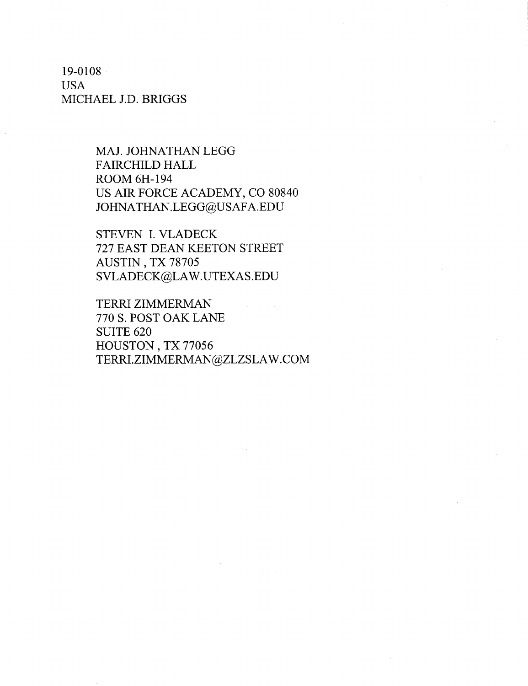19-0108 USA MICHAEL J.D. BRIGGS

> MAJ. JOHNATHAN LEGG FAIRCHILD HALL ROOM 6H-194 US AIR FORCE ACADEMY, CO 80840 JOHNATHAN.LEGG@USAFA.EDU

STEVEN I. VLADECK 727 EAST DEAN KEETON STREET AUSTiN , TX *78705*  SVLADECK@LAW.UTEXAS.EDU

TERRI ZIMMERMAN 7705. POST OAK LANE SUITE 620 HOUSTON, TX *77056*  TERRI.ZIMMERMAN@ZLZSLAW.COM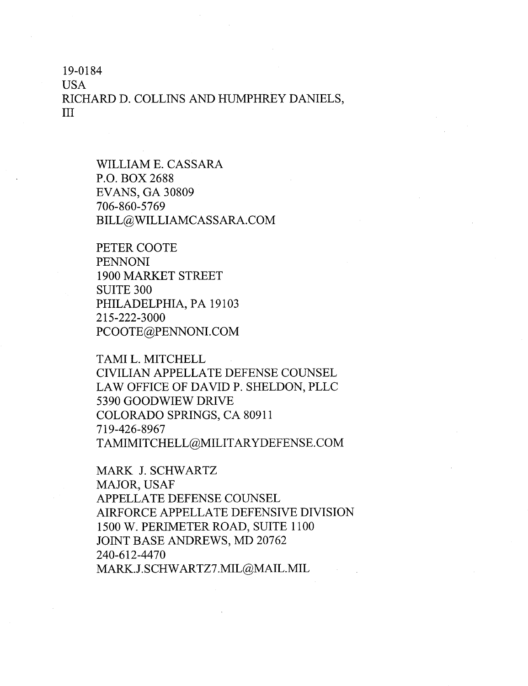19-0 184

USA RICHARD D. COLLINS AND HUMPHREY DANIELS, III

> WILLIAM E. CASSARA P.O. BOX 2688 EVANS, GA 30809 *706-860-5769*  BILL@WILLIAMCASSARA.COM

PETER COOTE PENNONI 1900 MARKET STREET SUITE 300 PHILADELPHIA, PA 19103 215-222-3000 PCOOTE@PENNONI.COM

TAMI L. MITCHELL CIVILIAN APPELLATE DEFENSE COUNSEL LAW OFFICE OF DAVID P. SHELDON, PLLC 5390 GOODWIEW DRIVE COLORADO SPRINGS, CA 80911 719-426-8967 TAMIMITCHELL@MILITARYDEFENSE.COM

MARK J. SCHWARTZ MAJOR, USAF APPELLATE DEFENSE COUNSEL AIRFORCE APPELLATE DEFENSIVE DIVISION 1500 W. PERIMETER ROAD, SUITE 1100 JOINT BASE ANDREWS, MD 20762 240-612-4470 MARK.J. SCHWARTZ7.MIL@MAIL.MIL